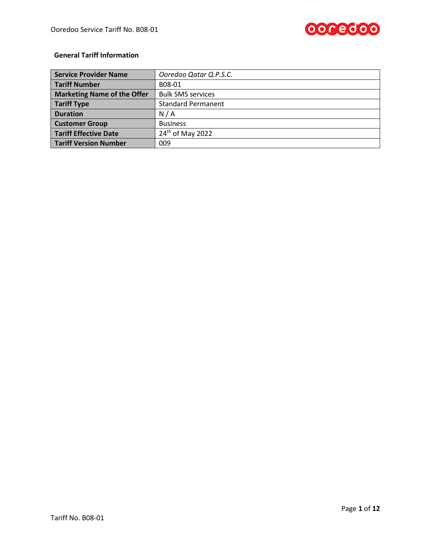

# **General Tariff Information**

| <b>Service Provider Name</b>       | Ooredoo Qatar Q.P.S.C.       |  |
|------------------------------------|------------------------------|--|
| <b>Tariff Number</b>               | B08-01                       |  |
| <b>Marketing Name of the Offer</b> | <b>Bulk SMS services</b>     |  |
| <b>Tariff Type</b>                 | <b>Standard Permanent</b>    |  |
| <b>Duration</b>                    | N/A                          |  |
| <b>Customer Group</b>              | <b>Business</b>              |  |
| <b>Tariff Effective Date</b>       | 24 <sup>th</sup> of May 2022 |  |
| <b>Tariff Version Number</b>       | 009                          |  |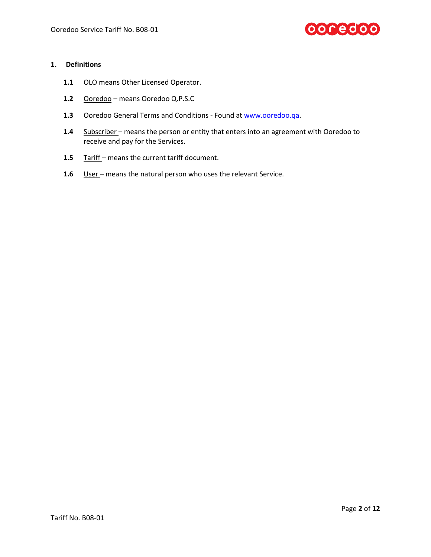

## **1. Definitions**

- 1.1 OLO means Other Licensed Operator.
- **1.2** Ooredoo means Ooredoo Q.P.S.C
- 1.3 Ooredoo General Terms and Conditions Found a[t www.ooredoo.qa.](http://www.ooredoo.qa/)
- **1.4** Subscriber means the person or entity that enters into an agreement with Ooredoo to receive and pay for the Services.
- 1.5 Tariff means the current tariff document.
- 1.6 User means the natural person who uses the relevant Service.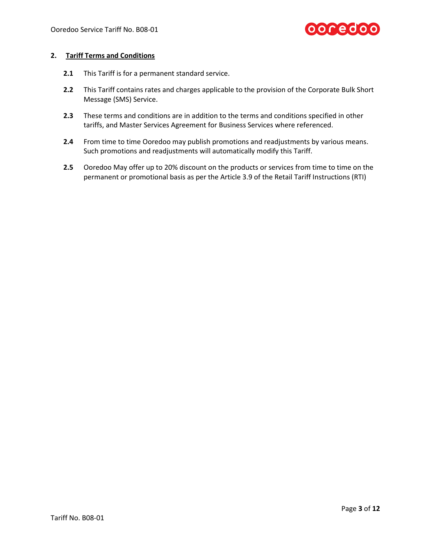

# **2. Tariff Terms and Conditions**

- **2.1** This Tariff is for a permanent standard service.
- **2.2** This Tariff contains rates and charges applicable to the provision of the Corporate Bulk Short Message (SMS) Service.
- **2.3** These terms and conditions are in addition to the terms and conditions specified in other tariffs, and Master Services Agreement for Business Services where referenced.
- **2.4** From time to time Ooredoo may publish promotions and readjustments by various means. Such promotions and readjustments will automatically modify this Tariff.
- **2.5** Ooredoo May offer up to 20% discount on the products or services from time to time on the permanent or promotional basis as per the Article 3.9 of the Retail Tariff Instructions (RTI)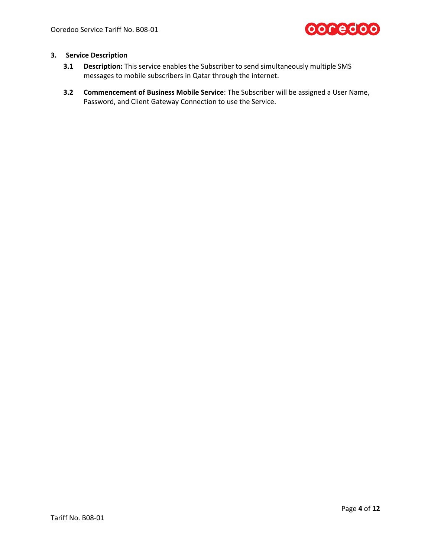

# **3. Service Description**

- **3.1 Description:** This service enables the Subscriber to send simultaneously multiple SMS messages to mobile subscribers in Qatar through the internet.
- **3.2 Commencement of Business Mobile Service**: The Subscriber will be assigned a User Name, Password, and Client Gateway Connection to use the Service.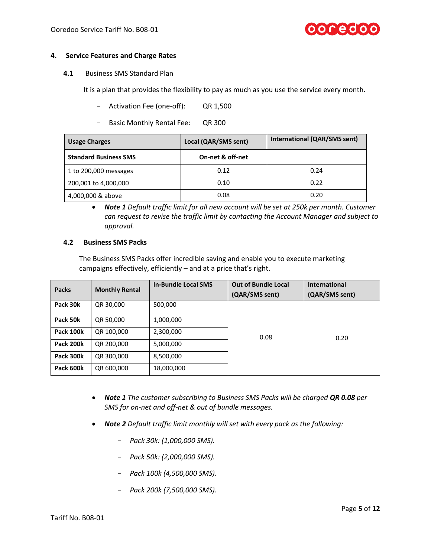

#### **4. Service Features and Charge Rates**

**4.1** Business SMS Standard Plan

It is a plan that provides the flexibility to pay as much as you use the service every month.

- Activation Fee (one-off): QR 1,500
- Basic Monthly Rental Fee: QR 300

| <b>Usage Charges</b>         | Local (QAR/SMS sent) | International (QAR/SMS sent) |
|------------------------------|----------------------|------------------------------|
| <b>Standard Business SMS</b> | On-net & off-net     |                              |
| 1 to 200,000 messages        | 0.12                 | 0.24                         |
| 200,001 to 4,000,000         | 0.10                 | 0.22                         |
| 4,000,000 & above            | 0.08                 | 0.20                         |

 *Note 1 Default traffic limit for all new account will be set at 250k per month. Customer can request to revise the traffic limit by contacting the Account Manager and subject to approval.*

#### **4.2 Business SMS Packs**

The Business SMS Packs offer incredible saving and enable you to execute marketing campaigns effectively, efficiently – and at a price that's right.

| <b>Packs</b>     | <b>Monthly Rental</b> | <b>In-Bundle Local SMS</b> | <b>Out of Bundle Local</b><br>(QAR/SMS sent) | <b>International</b><br>(QAR/SMS sent) |
|------------------|-----------------------|----------------------------|----------------------------------------------|----------------------------------------|
| Pack 30k         | QR 30,000             | 500,000                    |                                              |                                        |
| Pack 50k         | QR 50,000             | 1,000,000                  |                                              |                                        |
| <b>Pack 100k</b> | QR 100,000            | 2,300,000                  | 0.08                                         | 0.20                                   |
| Pack 200k        | QR 200,000            | 5,000,000                  |                                              |                                        |
| Pack 300k        | QR 300,000            | 8,500,000                  |                                              |                                        |
| Pack 600k        | QR 600,000            | 18,000,000                 |                                              |                                        |

- *Note 1 The customer subscribing to Business SMS Packs will be charged QR 0.08 per SMS for on-net and off-net & out of bundle messages.*
- *Note 2 Default traffic limit monthly will set with every pack as the following:*
	- *Pack 30k: (1,000,000 SMS).*
	- *Pack 50k: (2,000,000 SMS).*
	- *Pack 100k (4,500,000 SMS).*
	- *Pack 200k (7,500,000 SMS).*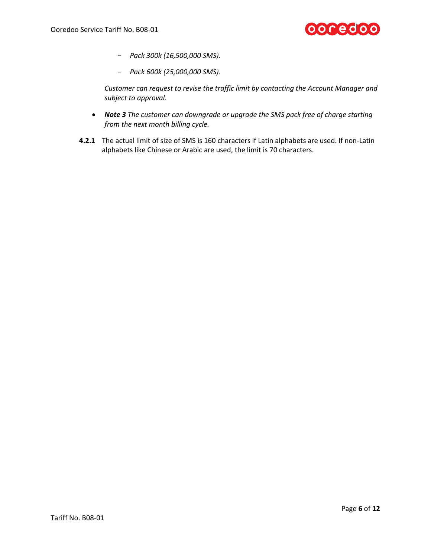

- *Pack 300k (16,500,000 SMS).*
- *Pack 600k (25,000,000 SMS).*

*Customer can request to revise the traffic limit by contacting the Account Manager and subject to approval.*

- *Note 3 The customer can downgrade or upgrade the SMS pack free of charge starting from the next month billing cycle.*
- **4.2.1** The actual limit of size of SMS is 160 characters if Latin alphabets are used. If non-Latin alphabets like Chinese or Arabic are used, the limit is 70 characters.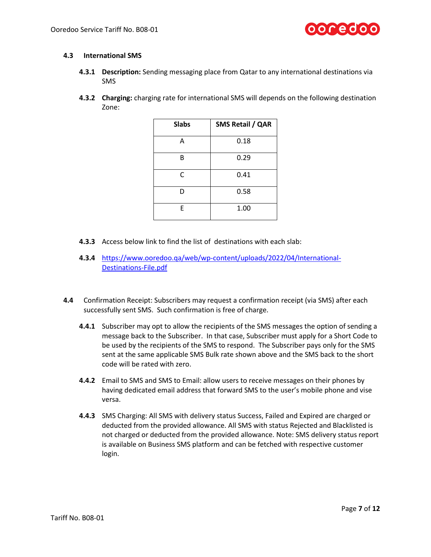

### **4.3 International SMS**

- **4.3.1 Description:** Sending messaging place from Qatar to any international destinations via SMS
- **4.3.2 Charging:** charging rate for international SMS will depends on the following destination Zone:

| <b>Slabs</b> | SMS Retail / QAR |
|--------------|------------------|
| А            | 0.18             |
| B            | 0.29             |
| C            | 0.41             |
| D            | 0.58             |
| F            | 1.00             |

- **4.3.3** Access below link to find the list of destinations with each slab:
- **4.3.4** [https://www.ooredoo.qa/web/wp-content/uploads/2022/04/International-](https://www.ooredoo.qa/web/wp-content/uploads/2022/04/International-Destinations-File.pdf)[Destinations-File.pdf](https://www.ooredoo.qa/web/wp-content/uploads/2022/04/International-Destinations-File.pdf)
- **4.4** Confirmation Receipt: Subscribers may request a confirmation receipt (via SMS) after each successfully sent SMS. Such confirmation is free of charge.
	- **4.4.1** Subscriber may opt to allow the recipients of the SMS messages the option of sending a message back to the Subscriber. In that case, Subscriber must apply for a Short Code to be used by the recipients of the SMS to respond. The Subscriber pays only for the SMS sent at the same applicable SMS Bulk rate shown above and the SMS back to the short code will be rated with zero.
	- **4.4.2** Email to SMS and SMS to Email: allow users to receive messages on their phones by having dedicated email address that forward SMS to the user's mobile phone and vise versa.
	- **4.4.3** SMS Charging: All SMS with delivery status Success, Failed and Expired are charged or deducted from the provided allowance. All SMS with status Rejected and Blacklisted is not charged or deducted from the provided allowance. Note: SMS delivery status report is available on Business SMS platform and can be fetched with respective customer login.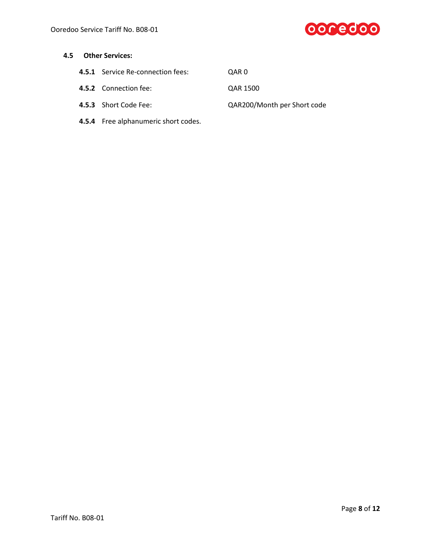

- **4.5.1** Service Re-connection fees: QAR 0
- **4.5.2** Connection fee: QAR 1500
- **4.5.3** Short Code Fee: QAR200/Month per Short code
- **4.5.4** Free alphanumeric short codes.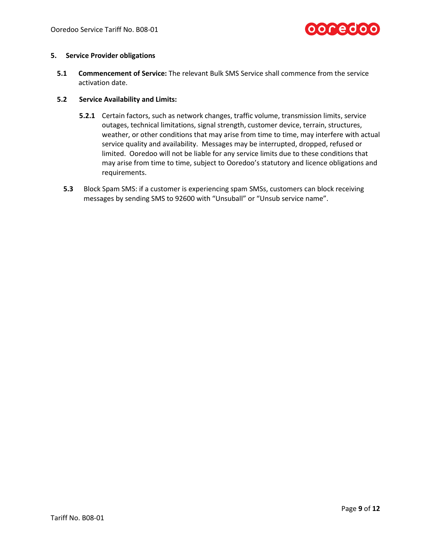

### **5. Service Provider obligations**

**5.1 Commencement of Service:** The relevant Bulk SMS Service shall commence from the service activation date.

### **5.2 Service Availability and Limits:**

- **5.2.1** Certain factors, such as network changes, traffic volume, transmission limits, service outages, technical limitations, signal strength, customer device, terrain, structures, weather, or other conditions that may arise from time to time, may interfere with actual service quality and availability. Messages may be interrupted, dropped, refused or limited. Ooredoo will not be liable for any service limits due to these conditions that may arise from time to time, subject to Ooredoo's statutory and licence obligations and requirements.
- **5.3** Block Spam SMS: if a customer is experiencing spam SMSs, customers can block receiving messages by sending SMS to 92600 with "Unsuball" or "Unsub service name".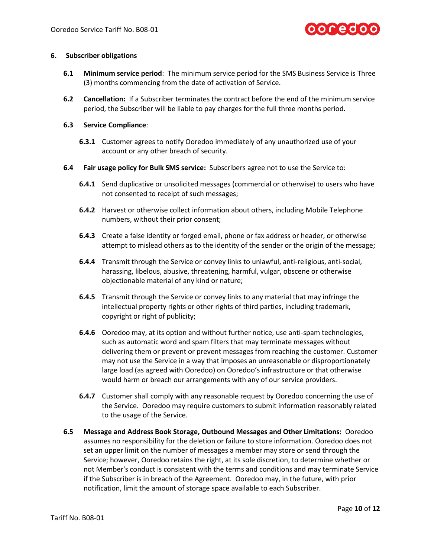

### **6. Subscriber obligations**

- **6.1 Minimum service period**: The minimum service period for the SMS Business Service is Three (3) months commencing from the date of activation of Service.
- **6.2 Cancellation:** If a Subscriber terminates the contract before the end of the minimum service period, the Subscriber will be liable to pay charges for the full three months period.

# **6.3 Service Compliance**:

- **6.3.1** Customer agrees to notify Ooredoo immediately of any unauthorized use of your account or any other breach of security.
- **6.4 Fair usage policy for Bulk SMS service:** Subscribers agree not to use the Service to:
	- **6.4.1** Send duplicative or unsolicited messages (commercial or otherwise) to users who have not consented to receipt of such messages;
	- **6.4.2** Harvest or otherwise collect information about others, including Mobile Telephone numbers, without their prior consent;
	- **6.4.3** Create a false identity or forged email, phone or fax address or header, or otherwise attempt to mislead others as to the identity of the sender or the origin of the message;
	- **6.4.4** Transmit through the Service or convey links to unlawful, anti-religious, anti-social, harassing, libelous, abusive, threatening, harmful, vulgar, obscene or otherwise objectionable material of any kind or nature;
	- **6.4.5** Transmit through the Service or convey links to any material that may infringe the intellectual property rights or other rights of third parties, including trademark, copyright or right of publicity;
	- **6.4.6** Ooredoo may, at its option and without further notice, use anti-spam technologies, such as automatic word and spam filters that may terminate messages without delivering them or prevent or prevent messages from reaching the customer. Customer may not use the Service in a way that imposes an unreasonable or disproportionately large load (as agreed with Ooredoo) on Ooredoo's infrastructure or that otherwise would harm or breach our arrangements with any of our service providers.
	- **6.4.7** Customer shall comply with any reasonable request by Ooredoo concerning the use of the Service. Ooredoo may require customers to submit information reasonably related to the usage of the Service.
- **6.5 Message and Address Book Storage, Outbound Messages and Other Limitations:** Ooredoo assumes no responsibility for the deletion or failure to store information. Ooredoo does not set an upper limit on the number of messages a member may store or send through the Service; however, Ooredoo retains the right, at its sole discretion, to determine whether or not Member's conduct is consistent with the terms and conditions and may terminate Service if the Subscriber is in breach of the Agreement. Ooredoo may, in the future, with prior notification, limit the amount of storage space available to each Subscriber.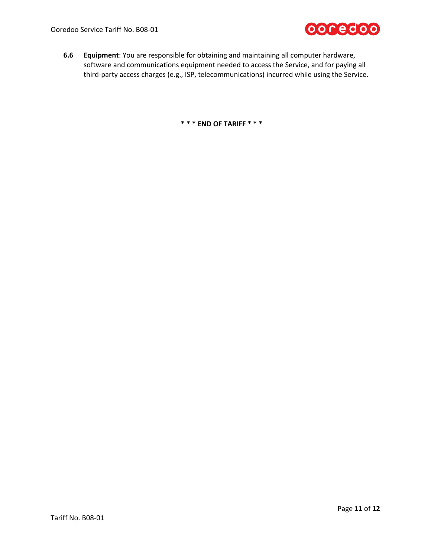**6.6 Equipment**: You are responsible for obtaining and maintaining all computer hardware, software and communications equipment needed to access the Service, and for paying all third-party access charges (e.g., ISP, telecommunications) incurred while using the Service.

**\* \* \* END OF TARIFF \* \* \***